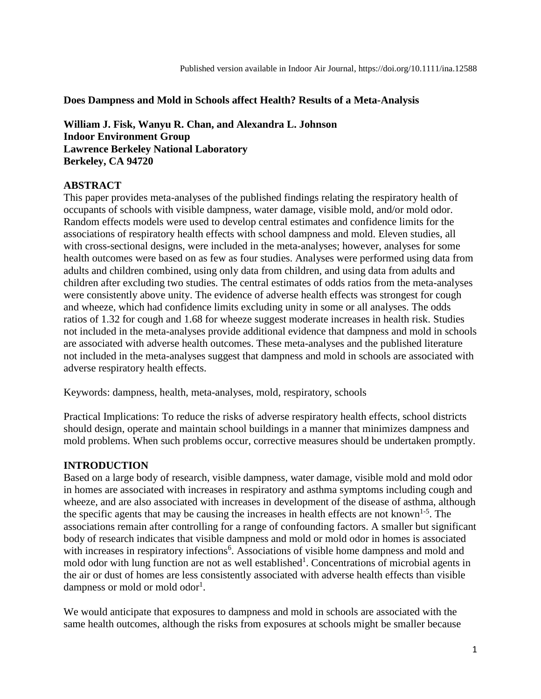**Does Dampness and Mold in Schools affect Health? Results of a Meta-Analysis**

**William J. Fisk, Wanyu R. Chan, and Alexandra L. Johnson Indoor Environment Group Lawrence Berkeley National Laboratory Berkeley, CA 94720**

### **ABSTRACT**

This paper provides meta-analyses of the published findings relating the respiratory health of occupants of schools with visible dampness, water damage, visible mold, and/or mold odor. Random effects models were used to develop central estimates and confidence limits for the associations of respiratory health effects with school dampness and mold. Eleven studies, all with cross-sectional designs, were included in the meta-analyses; however, analyses for some health outcomes were based on as few as four studies. Analyses were performed using data from adults and children combined, using only data from children, and using data from adults and children after excluding two studies. The central estimates of odds ratios from the meta-analyses were consistently above unity. The evidence of adverse health effects was strongest for cough and wheeze, which had confidence limits excluding unity in some or all analyses. The odds ratios of 1.32 for cough and 1.68 for wheeze suggest moderate increases in health risk. Studies not included in the meta-analyses provide additional evidence that dampness and mold in schools are associated with adverse health outcomes. These meta-analyses and the published literature not included in the meta-analyses suggest that dampness and mold in schools are associated with adverse respiratory health effects.

Keywords: dampness, health, meta-analyses, mold, respiratory, schools

Practical Implications: To reduce the risks of adverse respiratory health effects, school districts should design, operate and maintain school buildings in a manner that minimizes dampness and mold problems. When such problems occur, corrective measures should be undertaken promptly.

# **INTRODUCTION**

Based on a large body of research, visible dampness, water damage, visible mold and mold odor in homes are associated with increases in respiratory and asthma symptoms including cough and wheeze, and are also associated with increases in development of the disease of asthma, although the specific agents that may be causing the increases in health effects are not known<sup>1-5</sup>. The associations remain after controlling for a range of confounding factors. A smaller but significant body of research indicates that visible dampness and mold or mold odor in homes is associated with increases in respiratory infections<sup>6</sup>. Associations of visible home dampness and mold and mold odor with lung function are not as well established<sup>1</sup>. Concentrations of microbial agents in the air or dust of homes are less consistently associated with adverse health effects than visible dampness or mold or mold odor<sup>1</sup>.

We would anticipate that exposures to dampness and mold in schools are associated with the same health outcomes, although the risks from exposures at schools might be smaller because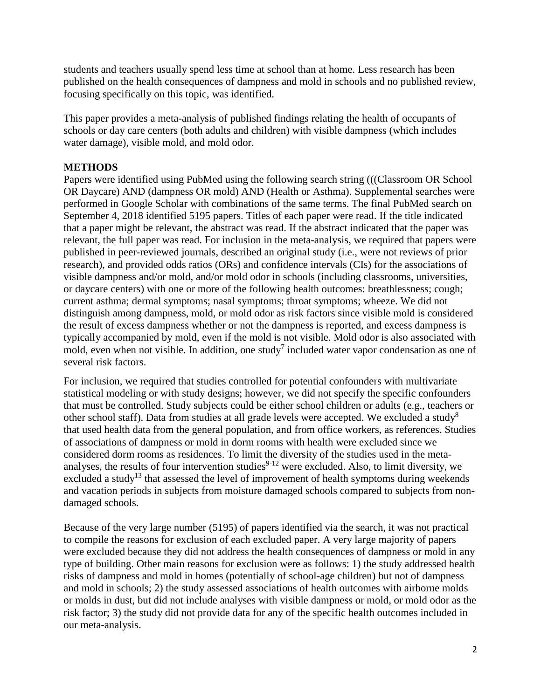students and teachers usually spend less time at school than at home. Less research has been published on the health consequences of dampness and mold in schools and no published review, focusing specifically on this topic, was identified.

This paper provides a meta-analysis of published findings relating the health of occupants of schools or day care centers (both adults and children) with visible dampness (which includes water damage), visible mold, and mold odor.

# **METHODS**

Papers were identified using PubMed using the following search string (((Classroom OR School OR Daycare) AND (dampness OR mold) AND (Health or Asthma). Supplemental searches were performed in Google Scholar with combinations of the same terms. The final PubMed search on September 4, 2018 identified 5195 papers. Titles of each paper were read. If the title indicated that a paper might be relevant, the abstract was read. If the abstract indicated that the paper was relevant, the full paper was read. For inclusion in the meta-analysis, we required that papers were published in peer-reviewed journals, described an original study (i.e., were not reviews of prior research), and provided odds ratios (ORs) and confidence intervals (CIs) for the associations of visible dampness and/or mold, and/or mold odor in schools (including classrooms, universities, or daycare centers) with one or more of the following health outcomes: breathlessness; cough; current asthma; dermal symptoms; nasal symptoms; throat symptoms; wheeze. We did not distinguish among dampness, mold, or mold odor as risk factors since visible mold is considered the result of excess dampness whether or not the dampness is reported, and excess dampness is typically accompanied by mold, even if the mold is not visible. Mold odor is also associated with mold, even when not visible. In addition, one study<sup>7</sup> included water vapor condensation as one of several risk factors.

For inclusion, we required that studies controlled for potential confounders with multivariate statistical modeling or with study designs; however, we did not specify the specific confounders that must be controlled. Study subjects could be either school children or adults (e.g., teachers or other school staff). Data from studies at all grade levels were accepted. We excluded a study<sup>8</sup> that used health data from the general population, and from office workers, as references. Studies of associations of dampness or mold in dorm rooms with health were excluded since we considered dorm rooms as residences. To limit the diversity of the studies used in the metaanalyses, the results of four intervention studies $9-12$  were excluded. Also, to limit diversity, we excluded a study<sup>13</sup> that assessed the level of improvement of health symptoms during weekends and vacation periods in subjects from moisture damaged schools compared to subjects from nondamaged schools.

Because of the very large number (5195) of papers identified via the search, it was not practical to compile the reasons for exclusion of each excluded paper. A very large majority of papers were excluded because they did not address the health consequences of dampness or mold in any type of building. Other main reasons for exclusion were as follows: 1) the study addressed health risks of dampness and mold in homes (potentially of school-age children) but not of dampness and mold in schools; 2) the study assessed associations of health outcomes with airborne molds or molds in dust, but did not include analyses with visible dampness or mold, or mold odor as the risk factor; 3) the study did not provide data for any of the specific health outcomes included in our meta-analysis.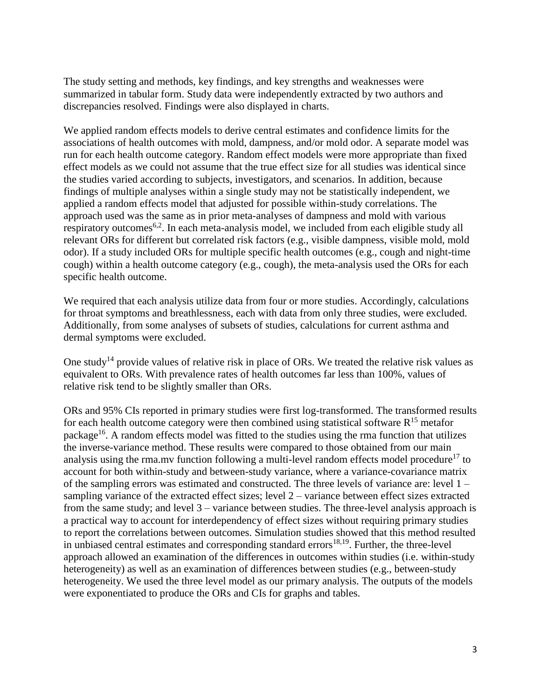The study setting and methods, key findings, and key strengths and weaknesses were summarized in tabular form. Study data were independently extracted by two authors and discrepancies resolved. Findings were also displayed in charts.

We applied random effects models to derive central estimates and confidence limits for the associations of health outcomes with mold, dampness, and/or mold odor. A separate model was run for each health outcome category. Random effect models were more appropriate than fixed effect models as we could not assume that the true effect size for all studies was identical since the studies varied according to subjects, investigators, and scenarios. In addition, because findings of multiple analyses within a single study may not be statistically independent, we applied a random effects model that adjusted for possible within-study correlations. The approach used was the same as in prior meta-analyses of dampness and mold with various respiratory outcomes<sup>6,2</sup>. In each meta-analysis model, we included from each eligible study all relevant ORs for different but correlated risk factors (e.g., visible dampness, visible mold, mold odor). If a study included ORs for multiple specific health outcomes (e.g., cough and night-time cough) within a health outcome category (e.g., cough), the meta-analysis used the ORs for each specific health outcome.

We required that each analysis utilize data from four or more studies. Accordingly, calculations for throat symptoms and breathlessness, each with data from only three studies, were excluded. Additionally, from some analyses of subsets of studies, calculations for current asthma and dermal symptoms were excluded.

One study<sup>14</sup> provide values of relative risk in place of ORs. We treated the relative risk values as equivalent to ORs. With prevalence rates of health outcomes far less than 100%, values of relative risk tend to be slightly smaller than ORs.

ORs and 95% CIs reported in primary studies were first log-transformed. The transformed results for each health outcome category were then combined using statistical software  $R^{15}$  metafor package<sup>16</sup>. A random effects model was fitted to the studies using the rma function that utilizes the inverse-variance method. These results were compared to those obtained from our main analysis using the rma.mv function following a multi-level random effects model procedure<sup>17</sup> to account for both within-study and between-study variance, where a variance-covariance matrix of the sampling errors was estimated and constructed. The three levels of variance are: level 1 – sampling variance of the extracted effect sizes; level 2 – variance between effect sizes extracted from the same study; and level 3 – variance between studies. The three-level analysis approach is a practical way to account for interdependency of effect sizes without requiring primary studies to report the correlations between outcomes. Simulation studies showed that this method resulted in unbiased central estimates and corresponding standard errors<sup>18,19</sup>. Further, the three-level approach allowed an examination of the differences in outcomes within studies (i.e. within-study heterogeneity) as well as an examination of differences between studies (e.g., between-study heterogeneity. We used the three level model as our primary analysis. The outputs of the models were exponentiated to produce the ORs and CIs for graphs and tables.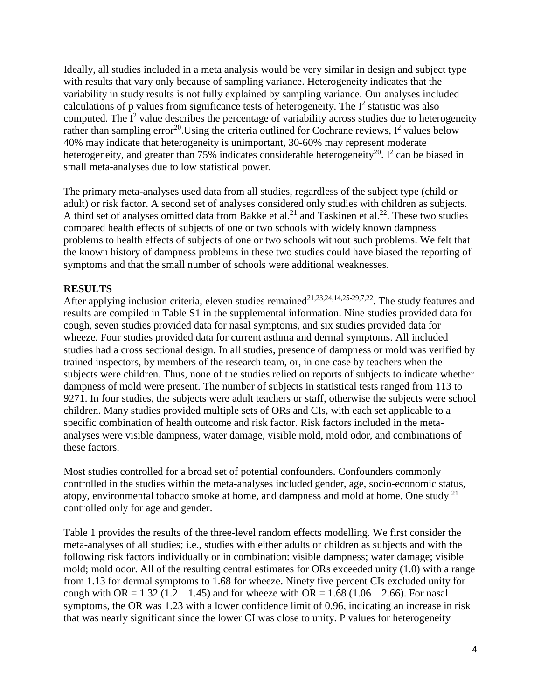Ideally, all studies included in a meta analysis would be very similar in design and subject type with results that vary only because of sampling variance. Heterogeneity indicates that the variability in study results is not fully explained by sampling variance. Our analyses included calculations of p values from significance tests of heterogeneity. The  $I^2$  statistic was also computed. The  $I^2$  value describes the percentage of variability across studies due to heterogeneity rather than sampling error<sup>20</sup>. Using the criteria outlined for Cochrane reviews,  $I^2$  values below 40% may indicate that heterogeneity is unimportant, 30-60% may represent moderate heterogeneity, and greater than 75% indicates considerable heterogeneity<sup>20</sup>. I<sup>2</sup> can be biased in small meta-analyses due to low statistical power.

The primary meta-analyses used data from all studies, regardless of the subject type (child or adult) or risk factor. A second set of analyses considered only studies with children as subjects. A third set of analyses omitted data from Bakke et al.<sup>21</sup> and Taskinen et al.<sup>22</sup>. These two studies compared health effects of subjects of one or two schools with widely known dampness problems to health effects of subjects of one or two schools without such problems. We felt that the known history of dampness problems in these two studies could have biased the reporting of symptoms and that the small number of schools were additional weaknesses.

# **RESULTS**

After applying inclusion criteria, eleven studies remained<sup>21,23,24,14,25-29,7,22</sup>. The study features and results are compiled in Table S1 in the supplemental information. Nine studies provided data for cough, seven studies provided data for nasal symptoms, and six studies provided data for wheeze. Four studies provided data for current asthma and dermal symptoms. All included studies had a cross sectional design. In all studies, presence of dampness or mold was verified by trained inspectors, by members of the research team, or, in one case by teachers when the subjects were children. Thus, none of the studies relied on reports of subjects to indicate whether dampness of mold were present. The number of subjects in statistical tests ranged from 113 to 9271. In four studies, the subjects were adult teachers or staff, otherwise the subjects were school children. Many studies provided multiple sets of ORs and CIs, with each set applicable to a specific combination of health outcome and risk factor. Risk factors included in the metaanalyses were visible dampness, water damage, visible mold, mold odor, and combinations of these factors.

Most studies controlled for a broad set of potential confounders. Confounders commonly controlled in the studies within the meta-analyses included gender, age, socio-economic status, atopy, environmental tobacco smoke at home, and dampness and mold at home. One study  $2<sup>1</sup>$ controlled only for age and gender.

Table 1 provides the results of the three-level random effects modelling. We first consider the meta-analyses of all studies; i.e., studies with either adults or children as subjects and with the following risk factors individually or in combination: visible dampness; water damage; visible mold; mold odor. All of the resulting central estimates for ORs exceeded unity (1.0) with a range from 1.13 for dermal symptoms to 1.68 for wheeze. Ninety five percent CIs excluded unity for cough with OR =  $1.32$  (1.2 – 1.45) and for wheeze with OR =  $1.68$  (1.06 – 2.66). For nasal symptoms, the OR was 1.23 with a lower confidence limit of 0.96, indicating an increase in risk that was nearly significant since the lower CI was close to unity. P values for heterogeneity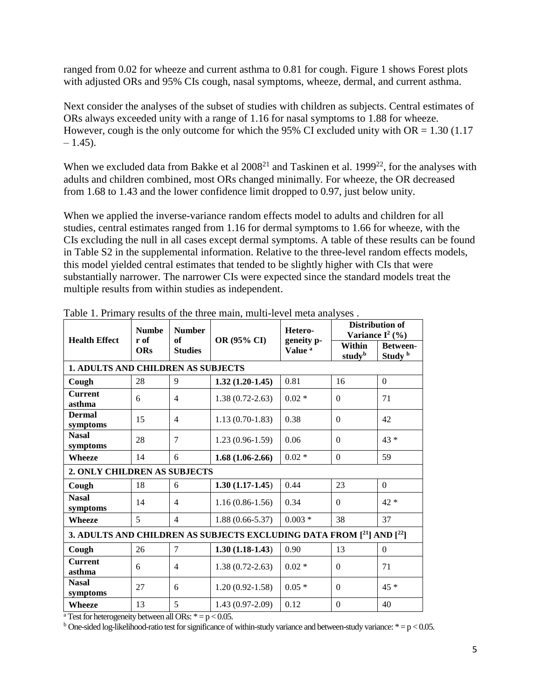ranged from 0.02 for wheeze and current asthma to 0.81 for cough. Figure 1 shows Forest plots with adjusted ORs and 95% CIs cough, nasal symptoms, wheeze, dermal, and current asthma.

Next consider the analyses of the subset of studies with children as subjects. Central estimates of ORs always exceeded unity with a range of 1.16 for nasal symptoms to 1.88 for wheeze. However, cough is the only outcome for which the 95% CI excluded unity with  $OR = 1.30$  (1.17  $-1.45$ ).

When we excluded data from Bakke et al  $2008<sup>21</sup>$  and Taskinen et al. 1999<sup>22</sup>, for the analyses with adults and children combined, most ORs changed minimally. For wheeze, the OR decreased from 1.68 to 1.43 and the lower confidence limit dropped to 0.97, just below unity.

When we applied the inverse-variance random effects model to adults and children for all studies, central estimates ranged from 1.16 for dermal symptoms to 1.66 for wheeze, with the CIs excluding the null in all cases except dermal symptoms. A table of these results can be found in Table S2 in the supplemental information. Relative to the three-level random effects models, this model yielded central estimates that tended to be slightly higher with CIs that were substantially narrower. The narrower CIs were expected since the standard models treat the multiple results from within studies as independent.

| <b>Health Effect</b>                                                 | <b>Numbe</b><br>r of<br><b>ORs</b> | <b>Number</b><br>of<br><b>Studies</b> | OR (95% CI)         | Hetero-<br>geneity p-<br>Value <sup>a</sup> | <b>Distribution of</b><br>Variance $I^2$ (%) |                                       |
|----------------------------------------------------------------------|------------------------------------|---------------------------------------|---------------------|---------------------------------------------|----------------------------------------------|---------------------------------------|
|                                                                      |                                    |                                       |                     |                                             | Within<br>study <sup>b</sup>                 | <b>Between-</b><br>Study <sup>b</sup> |
| <b>1. ADULTS AND CHILDREN AS SUBJECTS</b>                            |                                    |                                       |                     |                                             |                                              |                                       |
| Cough                                                                | 28                                 | 9                                     | $1.32(1.20-1.45)$   | 0.81                                        | 16                                           | $\Omega$                              |
| <b>Current</b><br>asthma                                             | 6                                  | $\overline{4}$                        | $1.38(0.72 - 2.63)$ | $0.02*$                                     | $\Omega$                                     | 71                                    |
| <b>Dermal</b><br>symptoms                                            | 15                                 | $\overline{\mathcal{A}}$              | $1.13(0.70-1.83)$   | 0.38                                        | $\Omega$                                     | 42                                    |
| <b>Nasal</b><br>symptoms                                             | 28                                 | $\overline{7}$                        | $1.23(0.96-1.59)$   | 0.06                                        | $\Omega$                                     | $43*$                                 |
| Wheeze                                                               | 14                                 | 6                                     | $1.68(1.06-2.66)$   | $0.02*$                                     | $\Omega$                                     | 59                                    |
| <b>2. ONLY CHILDREN AS SUBJECTS</b>                                  |                                    |                                       |                     |                                             |                                              |                                       |
| Cough                                                                | 18                                 | 6                                     | $1.30(1.17-1.45)$   | 0.44                                        | 23                                           | $\Omega$                              |
| <b>Nasal</b><br>symptoms                                             | 14                                 | $\overline{\mathcal{A}}$              | $1.16(0.86-1.56)$   | 0.34                                        | $\Omega$                                     | $42*$                                 |
| Wheeze                                                               | 5                                  | $\overline{\mathcal{A}}$              | $1.88(0.66 - 5.37)$ | $0.003*$                                    | 38                                           | 37                                    |
| 3. ADULTS AND CHILDREN AS SUBJECTS EXCLUDING DATA FROM [21] AND [22] |                                    |                                       |                     |                                             |                                              |                                       |
| Cough                                                                | 26                                 | $\overline{7}$                        | $1.30(1.18-1.43)$   | 0.90                                        | 13                                           | $\Omega$                              |
| <b>Current</b><br>asthma                                             | 6                                  | 4                                     | $1.38(0.72 - 2.63)$ | $0.02*$                                     | $\theta$                                     | 71                                    |
| <b>Nasal</b><br>symptoms                                             | 27                                 | 6                                     | $1.20(0.92 - 1.58)$ | $0.05*$                                     | $\Omega$                                     | $45*$                                 |
| <b>Wheeze</b>                                                        | 13                                 | 5                                     | $1.43(0.97-2.09)$   | 0.12                                        | $\Omega$                                     | 40                                    |

Table 1. Primary results of the three main, multi-level meta analyses .

<sup>a</sup> Test for heterogeneity between all ORs:  $* = p < 0.05$ .

<sup>b</sup> One-sided log-likelihood-ratio test for significance of within-study variance and between-study variance:  $* = p < 0.05$ .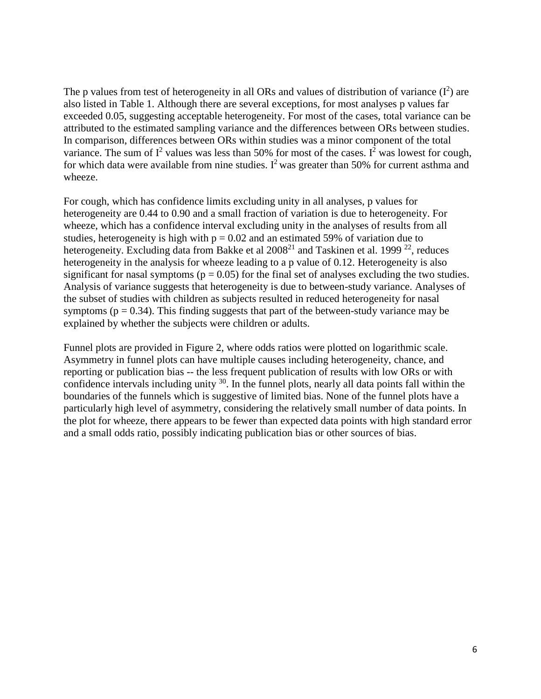The p values from test of heterogeneity in all ORs and values of distribution of variance  $(I^2)$  are also listed in Table 1. Although there are several exceptions, for most analyses p values far exceeded 0.05, suggesting acceptable heterogeneity. For most of the cases, total variance can be attributed to the estimated sampling variance and the differences between ORs between studies. In comparison, differences between ORs within studies was a minor component of the total variance. The sum of  $I^2$  values was less than 50% for most of the cases.  $I^2$  was lowest for cough, for which data were available from nine studies. I<sup>2</sup> was greater than 50% for current asthma and wheeze.

For cough, which has confidence limits excluding unity in all analyses, p values for heterogeneity are 0.44 to 0.90 and a small fraction of variation is due to heterogeneity. For wheeze, which has a confidence interval excluding unity in the analyses of results from all studies, heterogeneity is high with  $p = 0.02$  and an estimated 59% of variation due to heterogeneity. Excluding data from Bakke et al  $2008<sup>21</sup>$  and Taskinen et al. 1999<sup>22</sup>, reduces heterogeneity in the analysis for wheeze leading to a p value of 0.12. Heterogeneity is also significant for nasal symptoms ( $p = 0.05$ ) for the final set of analyses excluding the two studies. Analysis of variance suggests that heterogeneity is due to between-study variance. Analyses of the subset of studies with children as subjects resulted in reduced heterogeneity for nasal symptoms ( $p = 0.34$ ). This finding suggests that part of the between-study variance may be explained by whether the subjects were children or adults.

Funnel plots are provided in Figure 2, where odds ratios were plotted on logarithmic scale. Asymmetry in funnel plots can have multiple causes including heterogeneity, chance, and reporting or publication bias -- the less frequent publication of results with low ORs or with confidence intervals including unity <sup>30</sup>. In the funnel plots, nearly all data points fall within the boundaries of the funnels which is suggestive of limited bias. None of the funnel plots have a particularly high level of asymmetry, considering the relatively small number of data points. In the plot for wheeze, there appears to be fewer than expected data points with high standard error and a small odds ratio, possibly indicating publication bias or other sources of bias.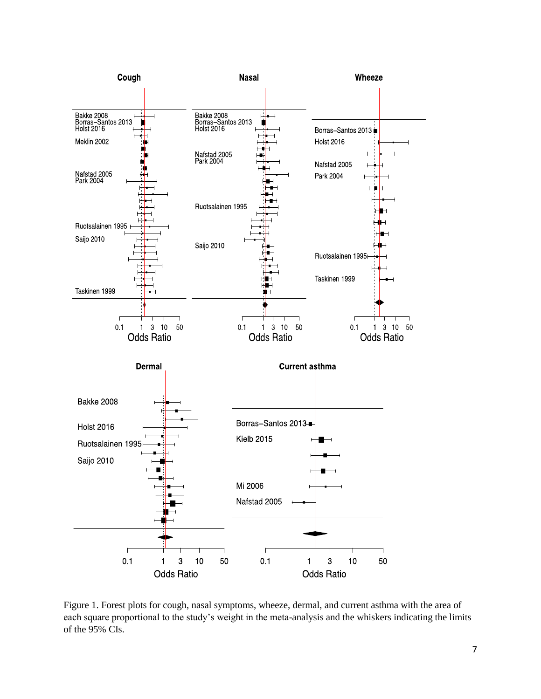

Figure 1. Forest plots for cough, nasal symptoms, wheeze, dermal, and current asthma with the area of each square proportional to the study's weight in the meta-analysis and the whiskers indicating the limits of the 95% CIs.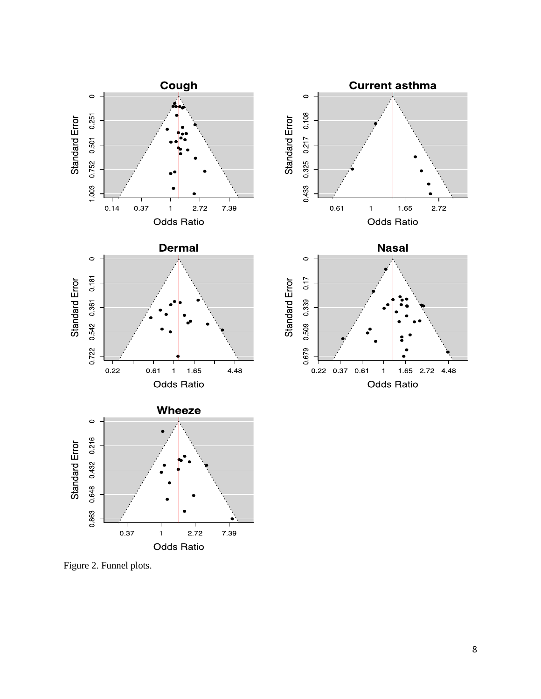

Figure 2. Funnel plots.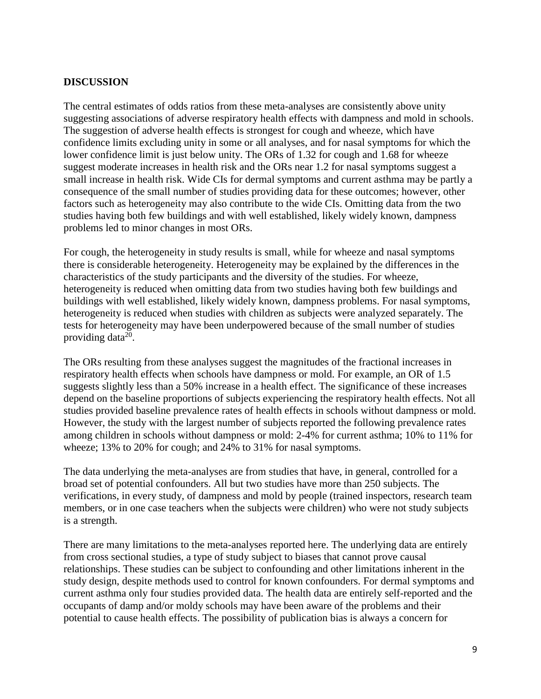### **DISCUSSION**

The central estimates of odds ratios from these meta-analyses are consistently above unity suggesting associations of adverse respiratory health effects with dampness and mold in schools. The suggestion of adverse health effects is strongest for cough and wheeze, which have confidence limits excluding unity in some or all analyses, and for nasal symptoms for which the lower confidence limit is just below unity. The ORs of 1.32 for cough and 1.68 for wheeze suggest moderate increases in health risk and the ORs near 1.2 for nasal symptoms suggest a small increase in health risk. Wide CIs for dermal symptoms and current asthma may be partly a consequence of the small number of studies providing data for these outcomes; however, other factors such as heterogeneity may also contribute to the wide CIs. Omitting data from the two studies having both few buildings and with well established, likely widely known, dampness problems led to minor changes in most ORs.

For cough, the heterogeneity in study results is small, while for wheeze and nasal symptoms there is considerable heterogeneity. Heterogeneity may be explained by the differences in the characteristics of the study participants and the diversity of the studies. For wheeze, heterogeneity is reduced when omitting data from two studies having both few buildings and buildings with well established, likely widely known, dampness problems. For nasal symptoms, heterogeneity is reduced when studies with children as subjects were analyzed separately. The tests for heterogeneity may have been underpowered because of the small number of studies providing data $^{20}$ .

The ORs resulting from these analyses suggest the magnitudes of the fractional increases in respiratory health effects when schools have dampness or mold. For example, an OR of 1.5 suggests slightly less than a 50% increase in a health effect. The significance of these increases depend on the baseline proportions of subjects experiencing the respiratory health effects. Not all studies provided baseline prevalence rates of health effects in schools without dampness or mold. However, the study with the largest number of subjects reported the following prevalence rates among children in schools without dampness or mold: 2-4% for current asthma; 10% to 11% for wheeze; 13% to 20% for cough; and 24% to 31% for nasal symptoms.

The data underlying the meta-analyses are from studies that have, in general, controlled for a broad set of potential confounders. All but two studies have more than 250 subjects. The verifications, in every study, of dampness and mold by people (trained inspectors, research team members, or in one case teachers when the subjects were children) who were not study subjects is a strength.

There are many limitations to the meta-analyses reported here. The underlying data are entirely from cross sectional studies, a type of study subject to biases that cannot prove causal relationships. These studies can be subject to confounding and other limitations inherent in the study design, despite methods used to control for known confounders. For dermal symptoms and current asthma only four studies provided data. The health data are entirely self-reported and the occupants of damp and/or moldy schools may have been aware of the problems and their potential to cause health effects. The possibility of publication bias is always a concern for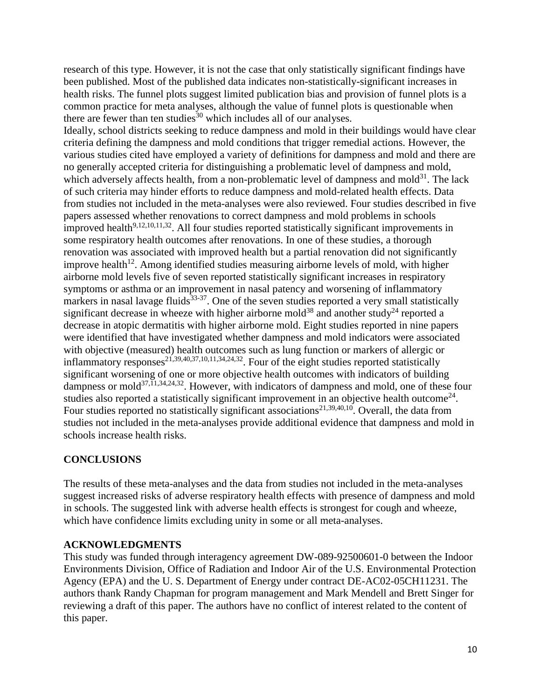research of this type. However, it is not the case that only statistically significant findings have been published. Most of the published data indicates non-statistically-significant increases in health risks. The funnel plots suggest limited publication bias and provision of funnel plots is a common practice for meta analyses, although the value of funnel plots is questionable when there are fewer than ten studies<sup>30</sup> which includes all of our analyses.

Ideally, school districts seeking to reduce dampness and mold in their buildings would have clear criteria defining the dampness and mold conditions that trigger remedial actions. However, the various studies cited have employed a variety of definitions for dampness and mold and there are no generally accepted criteria for distinguishing a problematic level of dampness and mold, which adversely affects health, from a non-problematic level of dampness and mold $31$ . The lack of such criteria may hinder efforts to reduce dampness and mold-related health effects. Data from studies not included in the meta-analyses were also reviewed. Four studies described in five papers assessed whether renovations to correct dampness and mold problems in schools  $\frac{1}{2}$  improved health<sup>9,12,10,11,32</sup>. All four studies reported statistically significant improvements in some respiratory health outcomes after renovations. In one of these studies, a thorough renovation was associated with improved health but a partial renovation did not significantly improve health<sup>12</sup>. Among identified studies measuring airborne levels of mold, with higher airborne mold levels five of seven reported statistically significant increases in respiratory symptoms or asthma or an improvement in nasal patency and worsening of inflammatory markers in nasal lavage fluids $33-37$ . One of the seven studies reported a very small statistically significant decrease in wheeze with higher airborne mold<sup>38</sup> and another study<sup>24</sup> reported a decrease in atopic dermatitis with higher airborne mold. Eight studies reported in nine papers were identified that have investigated whether dampness and mold indicators were associated with objective (measured) health outcomes such as lung function or markers of allergic or inflammatory responses<sup>21,39,40,37,10,11,34,24,32</sup>. Four of the eight studies reported statistically significant worsening of one or more objective health outcomes with indicators of building dampness or mold<sup>37,11,34,24,32</sup>. However, with indicators of dampness and mold, one of these four studies also reported a statistically significant improvement in an objective health outcome<sup>24</sup>. Four studies reported no statistically significant associations<sup>21,39,40,10</sup>. Overall, the data from studies not included in the meta-analyses provide additional evidence that dampness and mold in schools increase health risks.

# **CONCLUSIONS**

The results of these meta-analyses and the data from studies not included in the meta-analyses suggest increased risks of adverse respiratory health effects with presence of dampness and mold in schools. The suggested link with adverse health effects is strongest for cough and wheeze, which have confidence limits excluding unity in some or all meta-analyses.

# **ACKNOWLEDGMENTS**

This study was funded through interagency agreement DW-089-92500601-0 between the Indoor Environments Division, Office of Radiation and Indoor Air of the U.S. Environmental Protection Agency (EPA) and the U. S. Department of Energy under contract DE-AC02-05CH11231. The authors thank Randy Chapman for program management and Mark Mendell and Brett Singer for reviewing a draft of this paper. The authors have no conflict of interest related to the content of this paper.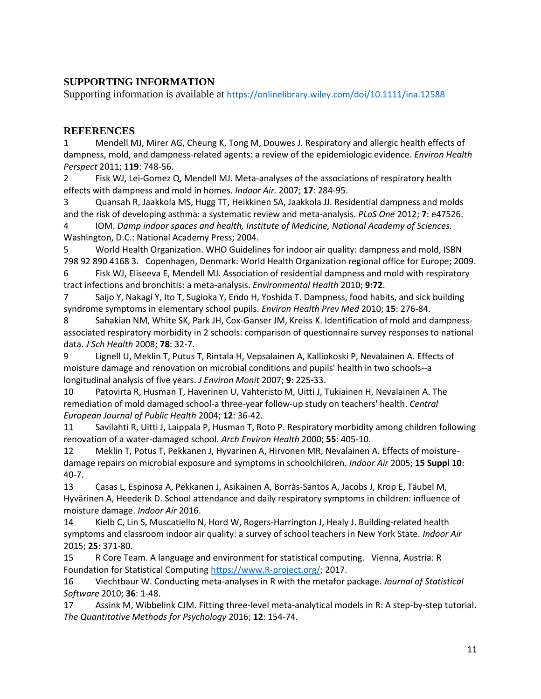# **SUPPORTING INFORMATION**

Supporting information is available at <https://onlinelibrary.wiley.com/doi/10.1111/ina.12588>

# **REFERENCES**

1 Mendell MJ, Mirer AG, Cheung K, Tong M, Douwes J. Respiratory and allergic health effects of dampness, mold, and dampness-related agents: a review of the epidemiologic evidence. *Environ Health Perspect* 2011; **119**: 748-56.

2 Fisk WJ, Lei-Gomez Q, Mendell MJ. Meta-analyses of the associations of respiratory health effects with dampness and mold in homes. *Indoor Air.* 2007; **17**: 284-95.

3 Quansah R, Jaakkola MS, Hugg TT, Heikkinen SA, Jaakkola JJ. Residential dampness and molds and the risk of developing asthma: a systematic review and meta-analysis. *PLoS One* 2012; **7**: e47526. 4 IOM. *Damp indoor spaces and health, Institute of Medicine, National Academy of Sciences.*

Washington, D.C.: National Academy Press; 2004.

5 World Health Organization. WHO Guidelines for indoor air quality: dampness and mold, ISBN 798 92 890 4168 3. Copenhagen, Denmark: World Health Organization regional office for Europe; 2009.

6 Fisk WJ, Eliseeva E, Mendell MJ. Association of residential dampness and mold with respiratory tract infections and bronchitis: a meta-analysis. *Environmental Health* 2010; **9:72**.

7 Saijo Y, Nakagi Y, Ito T, Sugioka Y, Endo H, Yoshida T. Dampness, food habits, and sick building syndrome symptoms in elementary school pupils. *Environ Health Prev Med* 2010; **15**: 276-84.

8 Sahakian NM, White SK, Park JH, Cox-Ganser JM, Kreiss K. Identification of mold and dampnessassociated respiratory morbidity in 2 schools: comparison of questionnaire survey responses to national data. *J Sch Health* 2008; **78**: 32-7.

9 Lignell U, Meklin T, Putus T, Rintala H, Vepsalainen A, Kalliokoski P, Nevalainen A. Effects of moisture damage and renovation on microbial conditions and pupils' health in two schools--a longitudinal analysis of five years. *J Environ Monit* 2007; **9**: 225-33.

10 Patovirta R, Husman T, Haverinen U, Vahteristo M, Uitti J, Tukiainen H, Nevalainen A. The remediation of mold damaged school-a three-year follow-up study on teachers' health. *Central European Journal of Public Health* 2004; **12**: 36-42.

11 Savilahti R, Uitti J, Laippala P, Husman T, Roto P. Respiratory morbidity among children following renovation of a water-damaged school. *Arch Environ Health* 2000; **55**: 405-10.

12 Meklin T, Potus T, Pekkanen J, Hyvarinen A, Hirvonen MR, Nevalainen A. Effects of moisturedamage repairs on microbial exposure and symptoms in schoolchildren. *Indoor Air* 2005; **15 Suppl 10**: 40-7.

13 Casas L, Espinosa A, Pekkanen J, Asikainen A, Borràs‐Santos A, Jacobs J, Krop E, Täubel M, Hyvärinen A, Heederik D. School attendance and daily respiratory symptoms in children: influence of moisture damage. *Indoor Air* 2016.

14 Kielb C, Lin S, Muscatiello N, Hord W, Rogers-Harrington J, Healy J. Building-related health symptoms and classroom indoor air quality: a survey of school teachers in New York State. *Indoor Air* 2015; **25**: 371-80.

15 R Core Team. A language and environment for statistical computing. Vienna, Austria: R Foundation for Statistical Computin[g https://www.R-project.org/;](https://www.r-project.org/) 2017.

16 Viechtbaur W. Conducting meta-analyses in R with the metafor package. *Journal of Statistical Software* 2010; **36**: 1-48.

17 Assink M, Wibbelink CJM. Fitting three-level meta-analytical models in R: A step-by-step tutorial. *The Quantitative Methods for Psychology* 2016; **12**: 154-74.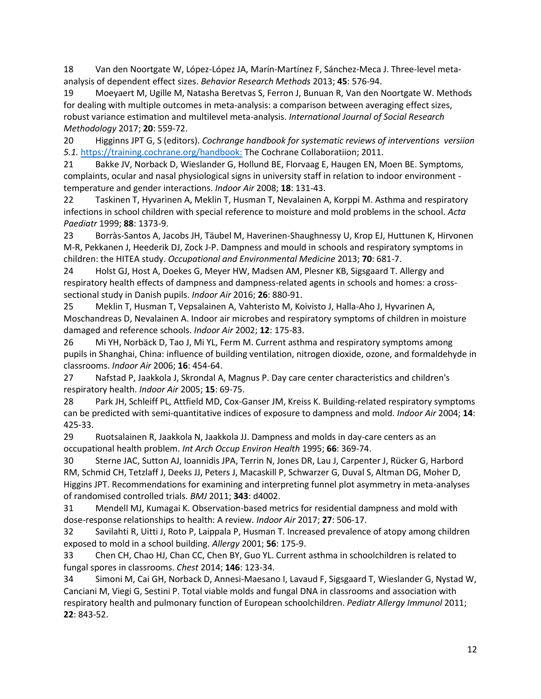18 Van den Noortgate W, López-López JA, Marín-Martínez F, Sánchez-Meca J. Three-level metaanalysis of dependent effect sizes. *Behavior Research Methods* 2013; **45**: 576-94.

19 Moeyaert M, Ugille M, Natasha Beretvas S, Ferron J, Bunuan R, Van den Noortgate W. Methods for dealing with multiple outcomes in meta-analysis: a comparison between averaging effect sizes, robust variance estimation and multilevel meta-analysis. *International Journal of Social Research Methodology* 2017; **20**: 559-72.

20 Higginns JPT G, S (editors). *Cochrange handbook for systematic reviews of interventions versiion 5.1.* <https://training.cochrane.org/handbook:> The Cochrane Collaboratiion; 2011.

21 Bakke JV, Norback D, Wieslander G, Hollund BE, Florvaag E, Haugen EN, Moen BE. Symptoms, complaints, ocular and nasal physiological signs in university staff in relation to indoor environment temperature and gender interactions. *Indoor Air* 2008; **18**: 131-43.

22 Taskinen T, Hyvarinen A, Meklin T, Husman T, Nevalainen A, Korppi M. Asthma and respiratory infections in school children with special reference to moisture and mold problems in the school. *Acta Paediatr* 1999; **88**: 1373-9.

23 Borràs-Santos A, Jacobs JH, Täubel M, Haverinen-Shaughnessy U, Krop EJ, Huttunen K, Hirvonen M-R, Pekkanen J, Heederik DJ, Zock J-P. Dampness and mould in schools and respiratory symptoms in children: the HITEA study. *Occupational and Environmental Medicine* 2013; **70**: 681-7.

24 Holst GJ, Host A, Doekes G, Meyer HW, Madsen AM, Plesner KB, Sigsgaard T. Allergy and respiratory health effects of dampness and dampness-related agents in schools and homes: a crosssectional study in Danish pupils. *Indoor Air* 2016; **26**: 880-91.

25 Meklin T, Husman T, Vepsalainen A, Vahteristo M, Koivisto J, Halla-Aho J, Hyvarinen A, Moschandreas D, Nevalainen A. Indoor air microbes and respiratory symptoms of children in moisture damaged and reference schools. *Indoor Air* 2002; **12**: 175-83.

26 Mi YH, Norbäck D, Tao J, Mi YL, Ferm M. Current asthma and respiratory symptoms among pupils in Shanghai, China: influence of building ventilation, nitrogen dioxide, ozone, and formaldehyde in classrooms. *Indoor Air* 2006; **16**: 454-64.

27 Nafstad P, Jaakkola J, Skrondal A, Magnus P. Day care center characteristics and children's respiratory health. *Indoor Air* 2005; **15**: 69-75.

28 Park JH, Schleiff PL, Attfield MD, Cox-Ganser JM, Kreiss K. Building-related respiratory symptoms can be predicted with semi-quantitative indices of exposure to dampness and mold. *Indoor Air* 2004; **14**: 425-33.

29 Ruotsalainen R, Jaakkola N, Jaakkola JJ. Dampness and molds in day-care centers as an occupational health problem. *Int Arch Occup Environ Health* 1995; **66**: 369-74.

30 Sterne JAC, Sutton AJ, Ioannidis JPA, Terrin N, Jones DR, Lau J, Carpenter J, Rücker G, Harbord RM, Schmid CH, Tetzlaff J, Deeks JJ, Peters J, Macaskill P, Schwarzer G, Duval S, Altman DG, Moher D, Higgins JPT. Recommendations for examining and interpreting funnel plot asymmetry in meta-analyses of randomised controlled trials. *BMJ* 2011; **343**: d4002.

31 Mendell MJ, Kumagai K. Observation-based metrics for residential dampness and mold with dose-response relationships to health: A review. *Indoor Air* 2017; **27**: 506-17.

32 Savilahti R, Uitti J, Roto P, Laippala P, Husman T. Increased prevalence of atopy among children exposed to mold in a school building. *Allergy* 2001; **56**: 175-9.

33 Chen CH, Chao HJ, Chan CC, Chen BY, Guo YL. Current asthma in schoolchildren is related to fungal spores in classrooms. *Chest* 2014; **146**: 123-34.

34 Simoni M, Cai GH, Norback D, Annesi-Maesano I, Lavaud F, Sigsgaard T, Wieslander G, Nystad W, Canciani M, Viegi G, Sestini P. Total viable molds and fungal DNA in classrooms and association with respiratory health and pulmonary function of European schoolchildren. *Pediatr Allergy Immunol* 2011; **22**: 843-52.